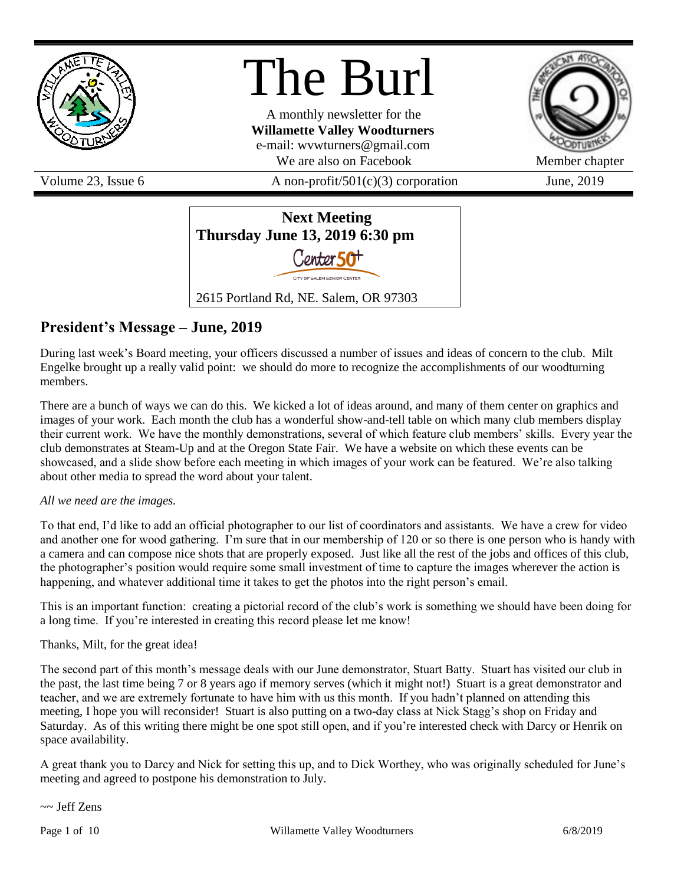

# The Burl

A monthly newsletter for the **Willamette Valley Woodturners** e-mail: wvwturners@gmail.com We are also on Facebook Member chapter

Volume 23, Issue 6  $\alpha$  A non-profit/501(c)(3) corporation June, 2019





## **President's Message – June, 2019**

During last week's Board meeting, your officers discussed a number of issues and ideas of concern to the club. Milt Engelke brought up a really valid point: we should do more to recognize the accomplishments of our woodturning members.

There are a bunch of ways we can do this. We kicked a lot of ideas around, and many of them center on graphics and images of your work. Each month the club has a wonderful show-and-tell table on which many club members display their current work. We have the monthly demonstrations, several of which feature club members' skills. Every year the club demonstrates at Steam-Up and at the Oregon State Fair. We have a website on which these events can be showcased, and a slide show before each meeting in which images of your work can be featured. We're also talking about other media to spread the word about your talent.

#### *All we need are the images.*

To that end, I'd like to add an official photographer to our list of coordinators and assistants. We have a crew for video and another one for wood gathering. I'm sure that in our membership of 120 or so there is one person who is handy with a camera and can compose nice shots that are properly exposed. Just like all the rest of the jobs and offices of this club, the photographer's position would require some small investment of time to capture the images wherever the action is happening, and whatever additional time it takes to get the photos into the right person's email.

This is an important function: creating a pictorial record of the club's work is something we should have been doing for a long time. If you're interested in creating this record please let me know!

#### Thanks, Milt, for the great idea!

The second part of this month's message deals with our June demonstrator, Stuart Batty. Stuart has visited our club in the past, the last time being 7 or 8 years ago if memory serves (which it might not!) Stuart is a great demonstrator and teacher, and we are extremely fortunate to have him with us this month. If you hadn't planned on attending this meeting, I hope you will reconsider! Stuart is also putting on a two-day class at Nick Stagg's shop on Friday and Saturday. As of this writing there might be one spot still open, and if you're interested check with Darcy or Henrik on space availability.

A great thank you to Darcy and Nick for setting this up, and to Dick Worthey, who was originally scheduled for June's meeting and agreed to postpone his demonstration to July.

~~ Jeff Zens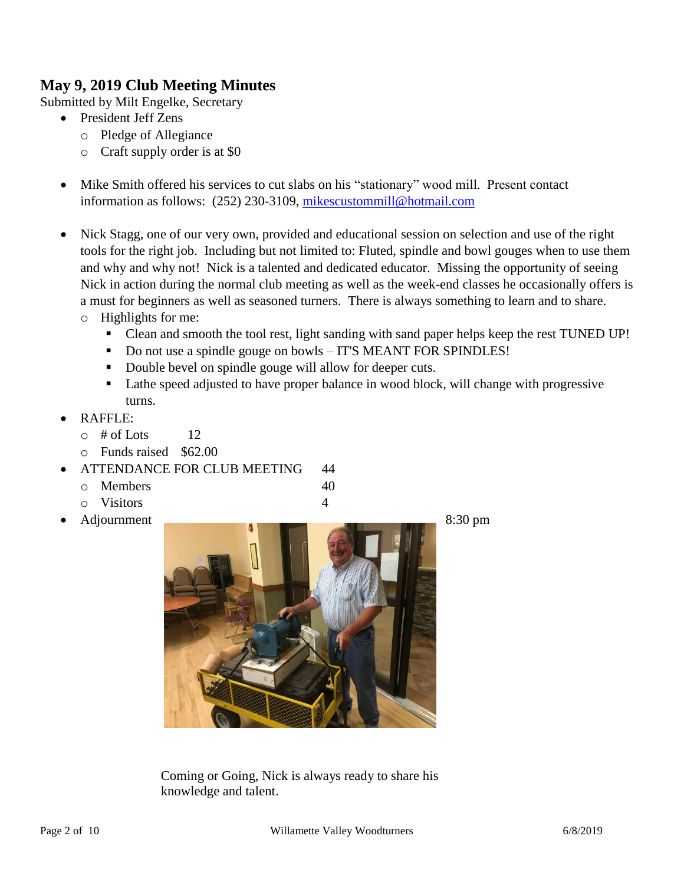### **May 9, 2019 Club Meeting Minutes**

Submitted by Milt Engelke, Secretary

- President Jeff Zens
	- o Pledge of Allegiance
	- o Craft supply order is at \$0
- Mike Smith offered his services to cut slabs on his "stationary" wood mill. Present contact information as follows: (252) 230-3109, [mikescustommill@hotmail.com](mailto:mikescustommill@hotmail.com)
- Nick Stagg, one of our very own, provided and educational session on selection and use of the right tools for the right job. Including but not limited to: Fluted, spindle and bowl gouges when to use them and why and why not! Nick is a talented and dedicated educator. Missing the opportunity of seeing Nick in action during the normal club meeting as well as the week-end classes he occasionally offers is a must for beginners as well as seasoned turners. There is always something to learn and to share.
	- o Highlights for me:
		- Clean and smooth the tool rest, light sanding with sand paper helps keep the rest TUNED UP!
		- Do not use a spindle gouge on bowls IT'S MEANT FOR SPINDLES!
		- Double bevel on spindle gouge will allow for deeper cuts.
		- Lathe speed adjusted to have proper balance in wood block, will change with progressive turns.
- RAFFLE:
	- $\circ$  # of Lots 12
	- o Funds raised \$62.00
- ATTENDANCE FOR CLUB MEETING 44
	- o Members 40
	- o Visitors 4
- 



Coming or Going, Nick is always ready to share his knowledge and talent.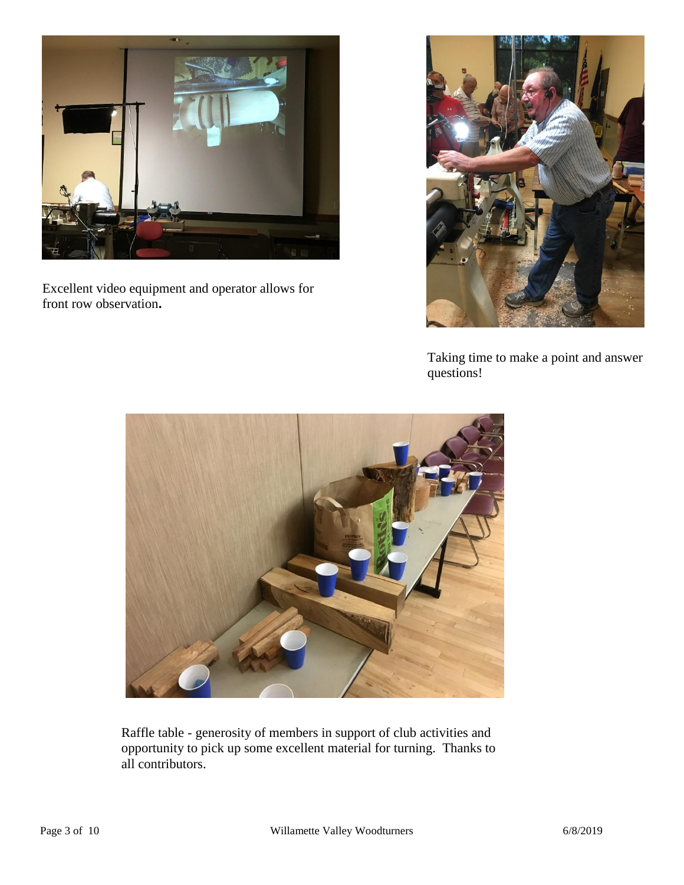

Excellent video equipment and operator allows for front row observation**.**



Taking time to make a point and answer questions!



Raffle table - generosity of members in support of club activities and opportunity to pick up some excellent material for turning. Thanks to all contributors.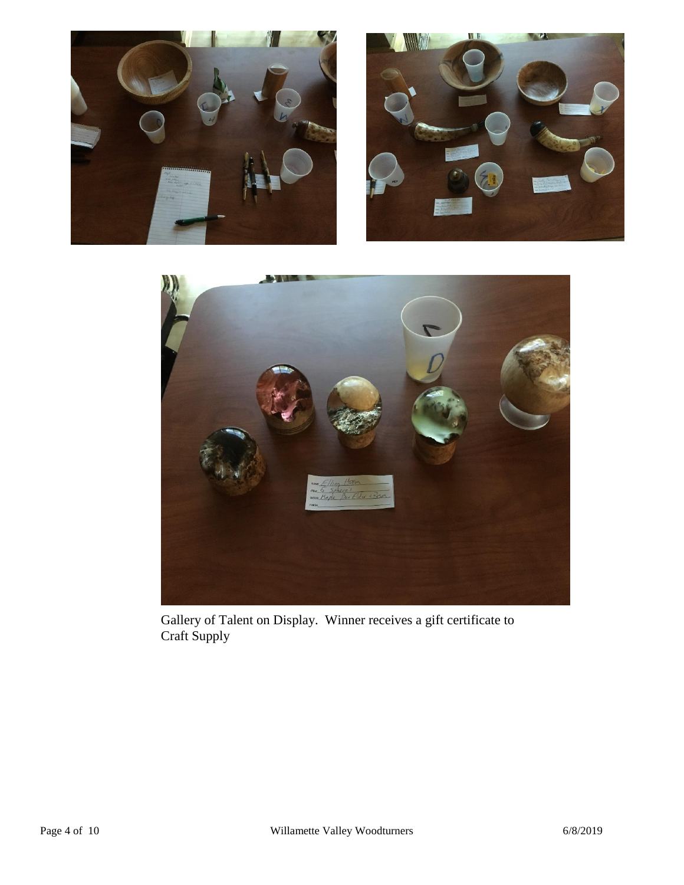





Gallery of Talent on Display. Winner receives a gift certificate to Craft Supply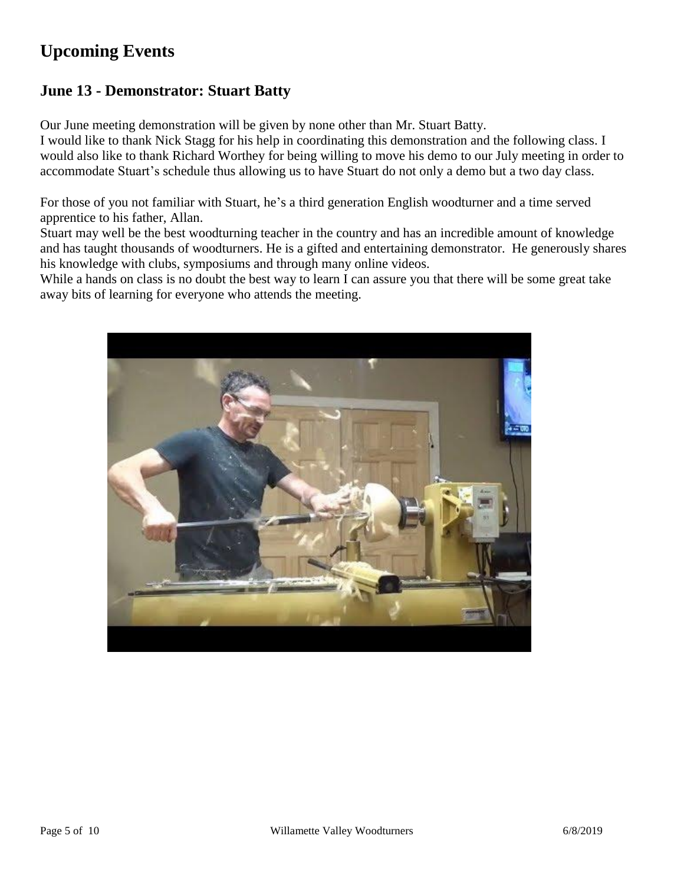# **Upcoming Events**

### **June 13 - Demonstrator: Stuart Batty**

Our June meeting demonstration will be given by none other than Mr. Stuart Batty.

I would like to thank Nick Stagg for his help in coordinating this demonstration and the following class. I would also like to thank Richard Worthey for being willing to move his demo to our July meeting in order to accommodate Stuart's schedule thus allowing us to have Stuart do not only a demo but a two day class.

For those of you not familiar with Stuart, he's a third generation English woodturner and a time served apprentice to his father, Allan.

Stuart may well be the best woodturning teacher in the country and has an incredible amount of knowledge and has taught thousands of woodturners. He is a gifted and entertaining demonstrator. He generously shares his knowledge with clubs, symposiums and through many online videos.

While a hands on class is no doubt the best way to learn I can assure you that there will be some great take away bits of learning for everyone who attends the meeting.

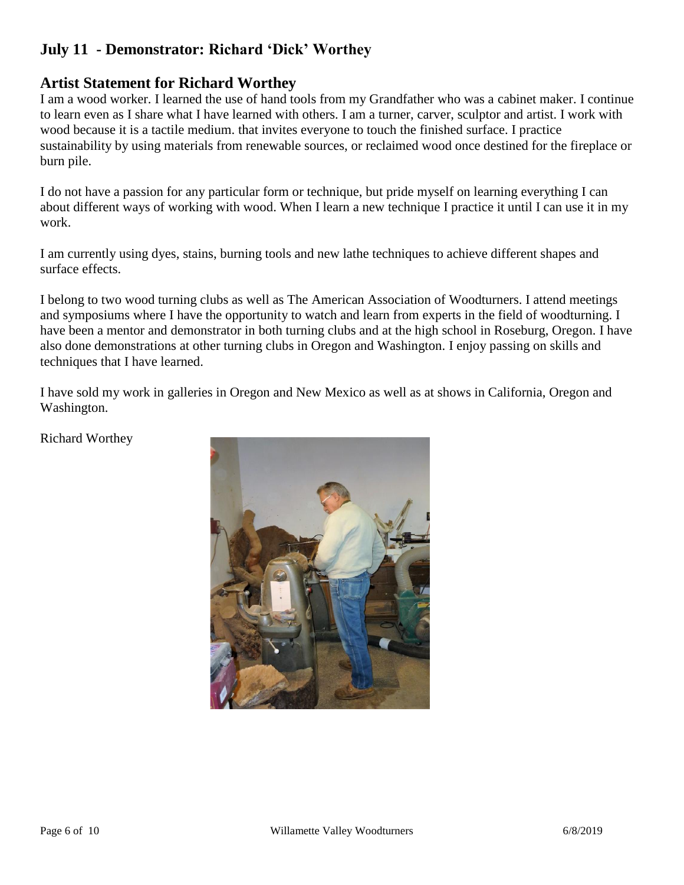### **July 11 - Demonstrator: Richard 'Dick' Worthey**

### **Artist Statement for Richard Worthey**

I am a wood worker. I learned the use of hand tools from my Grandfather who was a cabinet maker. I continue to learn even as I share what I have learned with others. I am a turner, carver, sculptor and artist. I work with wood because it is a tactile medium. that invites everyone to touch the finished surface. I practice sustainability by using materials from renewable sources, or reclaimed wood once destined for the fireplace or burn pile.

I do not have a passion for any particular form or technique, but pride myself on learning everything I can about different ways of working with wood. When I learn a new technique I practice it until I can use it in my work.

I am currently using dyes, stains, burning tools and new lathe techniques to achieve different shapes and surface effects.

I belong to two wood turning clubs as well as The American Association of Woodturners. I attend meetings and symposiums where I have the opportunity to watch and learn from experts in the field of woodturning. I have been a mentor and demonstrator in both turning clubs and at the high school in Roseburg, Oregon. I have also done demonstrations at other turning clubs in Oregon and Washington. I enjoy passing on skills and techniques that I have learned.

I have sold my work in galleries in Oregon and New Mexico as well as at shows in California, Oregon and Washington.

Richard Worthey

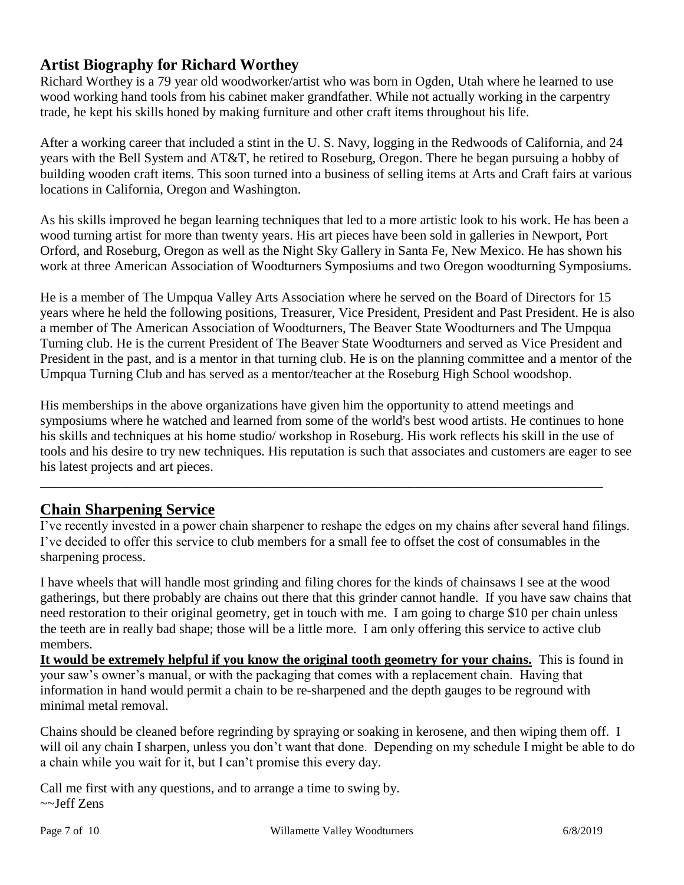### **Artist Biography for Richard Worthey**

Richard Worthey is a 79 year old woodworker/artist who was born in Ogden, Utah where he learned to use wood working hand tools from his cabinet maker grandfather. While not actually working in the carpentry trade, he kept his skills honed by making furniture and other craft items throughout his life.

After a working career that included a stint in the U. S. Navy, logging in the Redwoods of California, and 24 years with the Bell System and AT&T, he retired to Roseburg, Oregon. There he began pursuing a hobby of building wooden craft items. This soon turned into a business of selling items at Arts and Craft fairs at various locations in California, Oregon and Washington.

As his skills improved he began learning techniques that led to a more artistic look to his work. He has been a wood turning artist for more than twenty years. His art pieces have been sold in galleries in Newport, Port Orford, and Roseburg, Oregon as well as the Night Sky Gallery in Santa Fe, New Mexico. He has shown his work at three American Association of Woodturners Symposiums and two Oregon woodturning Symposiums.

He is a member of The Umpqua Valley Arts Association where he served on the Board of Directors for 15 years where he held the following positions, Treasurer, Vice President, President and Past President. He is also a member of The American Association of Woodturners, The Beaver State Woodturners and The Umpqua Turning club. He is the current President of The Beaver State Woodturners and served as Vice President and President in the past, and is a mentor in that turning club. He is on the planning committee and a mentor of the Umpqua Turning Club and has served as a mentor/teacher at the Roseburg High School woodshop.

His memberships in the above organizations have given him the opportunity to attend meetings and symposiums where he watched and learned from some of the world's best wood artists. He continues to hone his skills and techniques at his home studio/ workshop in Roseburg. His work reflects his skill in the use of tools and his desire to try new techniques. His reputation is such that associates and customers are eager to see his latest projects and art pieces.

\_\_\_\_\_\_\_\_\_\_\_\_\_\_\_\_\_\_\_\_\_\_\_\_\_\_\_\_\_\_\_\_\_\_\_\_\_\_\_\_\_\_\_\_\_\_\_\_\_\_\_\_\_\_\_\_\_\_\_\_\_\_\_\_\_\_\_\_\_\_\_\_\_\_\_\_\_\_\_\_\_\_\_\_

### **Chain Sharpening Service**

I've recently invested in a power chain sharpener to reshape the edges on my chains after several hand filings. I've decided to offer this service to club members for a small fee to offset the cost of consumables in the sharpening process.

I have wheels that will handle most grinding and filing chores for the kinds of chainsaws I see at the wood gatherings, but there probably are chains out there that this grinder cannot handle. If you have saw chains that need restoration to their original geometry, get in touch with me. I am going to charge \$10 per chain unless the teeth are in really bad shape; those will be a little more. I am only offering this service to active club members.

**It would be extremely helpful if you know the original tooth geometry for your chains.** This is found in your saw's owner's manual, or with the packaging that comes with a replacement chain. Having that information in hand would permit a chain to be re-sharpened and the depth gauges to be reground with minimal metal removal.

Chains should be cleaned before regrinding by spraying or soaking in kerosene, and then wiping them off. I will oil any chain I sharpen, unless you don't want that done. Depending on my schedule I might be able to do a chain while you wait for it, but I can't promise this every day.

Call me first with any questions, and to arrange a time to swing by. ~~Jeff Zens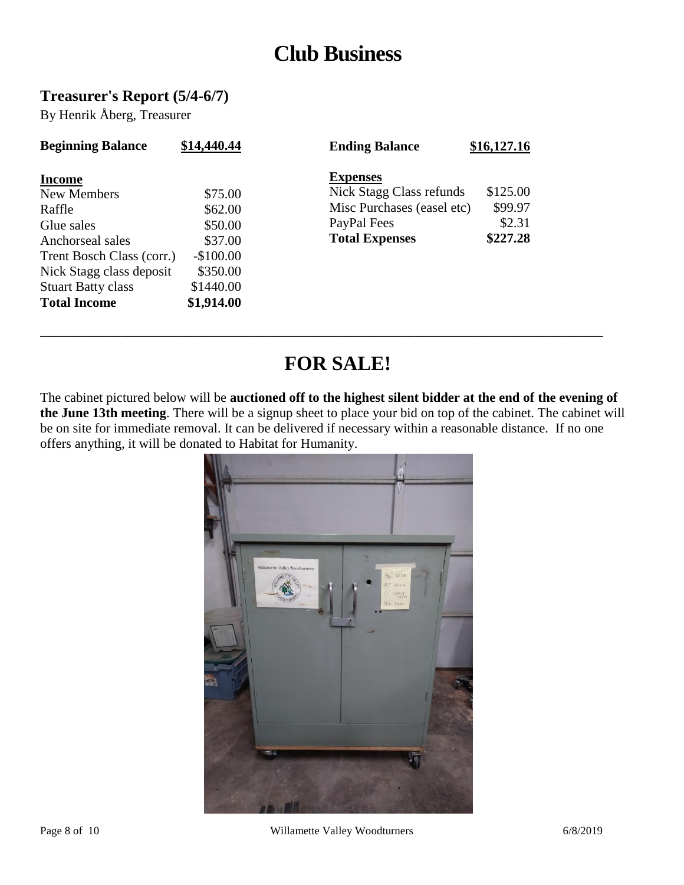# **Club Business**

### **Treasurer's Report (5/4-6/7)**

By Henrik Åberg, Treasurer

| <b>Beginning Balance</b>                                                                              | \$14,440.44                                            | <b>Ending Balance</b>                                                                                             | \$16,127.16                               |
|-------------------------------------------------------------------------------------------------------|--------------------------------------------------------|-------------------------------------------------------------------------------------------------------------------|-------------------------------------------|
| <b>Income</b><br>New Members<br>Raffle<br>Glue sales<br>Anchorseal sales<br>Trent Bosch Class (corr.) | \$75.00<br>\$62.00<br>\$50.00<br>\$37.00<br>$-$100.00$ | <b>Expenses</b><br>Nick Stagg Class refunds<br>Misc Purchases (easel etc)<br>PayPal Fees<br><b>Total Expenses</b> | \$125.00<br>\$99.97<br>\$2.31<br>\$227.28 |
| Nick Stagg class deposit<br><b>Stuart Batty class</b>                                                 | \$350.00<br>\$1440.00                                  |                                                                                                                   |                                           |
| <b>Total Income</b>                                                                                   | \$1,914.00                                             |                                                                                                                   |                                           |

# **FOR SALE!**

\_\_\_\_\_\_\_\_\_\_\_\_\_\_\_\_\_\_\_\_\_\_\_\_\_\_\_\_\_\_\_\_\_\_\_\_\_\_\_\_\_\_\_\_\_\_\_\_\_\_\_\_\_\_\_\_\_\_\_\_\_\_\_\_\_\_\_\_\_\_\_\_\_\_\_\_\_\_\_\_\_\_\_\_

The cabinet pictured below will be **auctioned off to the highest silent bidder at the end of the evening of the June 13th meeting**. There will be a signup sheet to place your bid on top of the cabinet. The cabinet will be on site for immediate removal. It can be delivered if necessary within a reasonable distance. If no one offers anything, it will be donated to Habitat for Humanity.

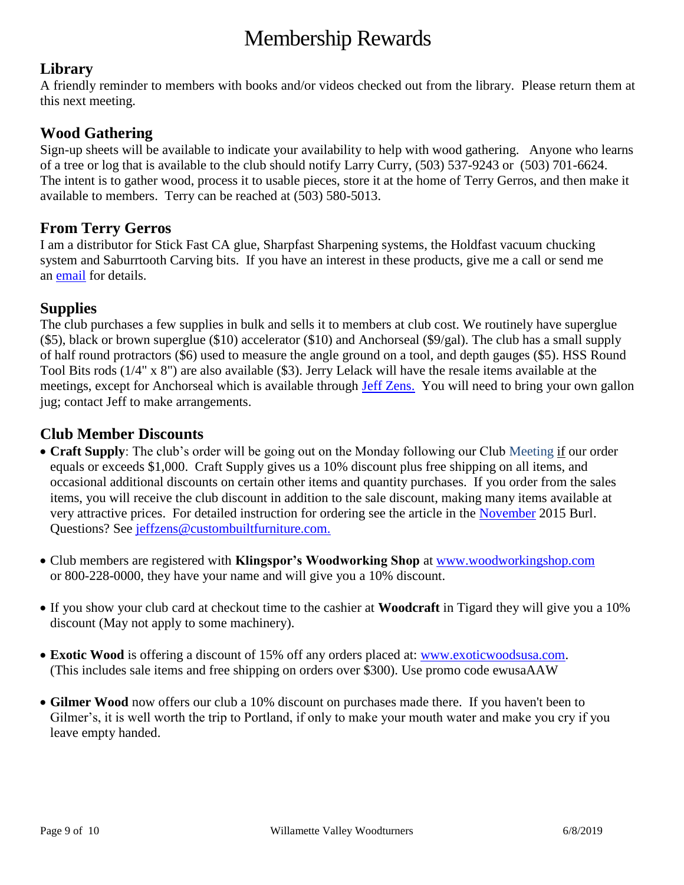# Membership Rewards

### **Library**

A friendly reminder to members with books and/or videos checked out from the library. Please return them at this next meeting.

### **Wood Gathering**

Sign-up sheets will be available to indicate your availability to help with wood gathering. Anyone who learns of a tree or log that is available to the club should notify Larry Curry, (503) 537-9243 or (503) 701-6624. The intent is to gather wood, process it to usable pieces, store it at the home of Terry Gerros, and then make it available to members. Terry can be reached at (503) 580-5013.

### **From Terry Gerros**

I am a distributor for Stick Fast CA glue, Sharpfast Sharpening systems, the Holdfast vacuum chucking system and Saburrtooth Carving bits. If you have an interest in these products, give me a call or send me an [email](mailto:gerrost@yahoo.com) for details.

### **Supplies**

The club purchases a few supplies in bulk and sells it to members at club cost. We routinely have superglue (\$5), black or brown superglue (\$10) accelerator (\$10) and Anchorseal (\$9/gal). The club has a small supply of half round protractors (\$6) used to measure the angle ground on a tool, and depth gauges (\$5). HSS Round Tool Bits rods (1/4" x 8") are also available (\$3). Jerry Lelack will have the resale items available at the meetings, except for Anchorseal which is available through [Jeff Zens.](mailto:jeffzens@custombuiltfurniture.com) You will need to bring your own gallon jug; contact Jeff to make arrangements.

### **Club Member Discounts**

- **Craft Supply**: The club's order will be going out on the Monday following our Club Meeting if our order equals or exceeds \$1,000. Craft Supply gives us a 10% discount plus free shipping on all items, and occasional additional discounts on certain other items and quantity purchases. If you order from the sales items, you will receive the club discount in addition to the sale discount, making many items available at very attractive prices. For detailed instruction for ordering see the article in the [November](http://www.willamettevalleywoodturners.com/newsletters/2015_11_WVW_Newsletter.pdf) 2015 Burl. Questions? See [jeffzens@custombuiltfurniture.com.](mailto:jeffzens@custombuiltfurniture.com.)
- Club members are registered with **Klingspor's Woodworking Shop** at [www.woodworkingshop.com](http://www.woodworkingshop.com/)  or 800-228-0000, they have your name and will give you a 10% discount.
- If you show your club card at checkout time to the cashier at **Woodcraft** in Tigard they will give you a 10% discount (May not apply to some machinery).
- **Exotic Wood** is offering a discount of 15% off any orders placed at: [www.exoticwoodsusa.com.](http://www.exoticwoodsusa.com/) (This includes sale items and free shipping on orders over \$300). Use promo code ewusaAAW
- **Gilmer Wood** now offers our club a 10% discount on purchases made there. If you haven't been to Gilmer's, it is well worth the trip to Portland, if only to make your mouth water and make you cry if you leave empty handed.